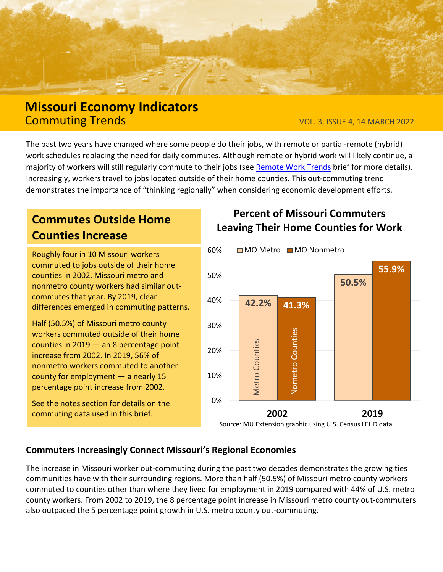

## **Missouri Economy Indicators** Commuting Trends VOL. 3, ISSUE 4, 14 MARCH 2022

The past two years have changed where some people do their jobs, with remote or partial-remote (hybrid) work schedules replacing the need for daily commutes. Although remote or hybrid work will likely continue, a majority of workers will still regularly commute to their jobs (see [Remote Work Trends](https://extension.missouri.edu/media/wysiwyg/Extensiondata/Pro/ExCEED/Docs/MissouriEconomy_RemoteWork_v2i19_16Dec2021.pdf) brief for more details). Increasingly, workers travel to jobs located outside of their home counties. This out-commuting trend demonstrates the importance of "thinking regionally" when considering economic development efforts.

# **Commutes Outside Home Counties Increase**

Roughly four in 10 Missouri workers commuted to jobs outside of their home counties in 2002. Missouri metro and nonmetro county workers had similar outcommutes that year. By 2019, clear differences emerged in commuting patterns.

Half (50.5%) of Missouri metro county workers commuted outside of their home counties in 2019 — an 8 percentage point increase from 2002. In 2019, 56% of nonmetro workers commuted to another county for employment — a nearly 15 percentage point increase from 2002.

See the notes section for details on the commuting data used in this brief.

### **Percent of Missouri Commuters Leaving Their Home Counties for Work**



#### **Commuters Increasingly Connect Missouri's Regional Economies**

The increase in Missouri worker out-commuting during the past two decades demonstrates the growing ties communities have with their surrounding regions. More than half (50.5%) of Missouri metro county workers commuted to counties other than where they lived for employment in 2019 compared with 44% of U.S. metro county workers. From 2002 to 2019, the 8 percentage point increase in Missouri metro county out-commuters also outpaced the 5 percentage point growth in U.S. metro county out-commuting.